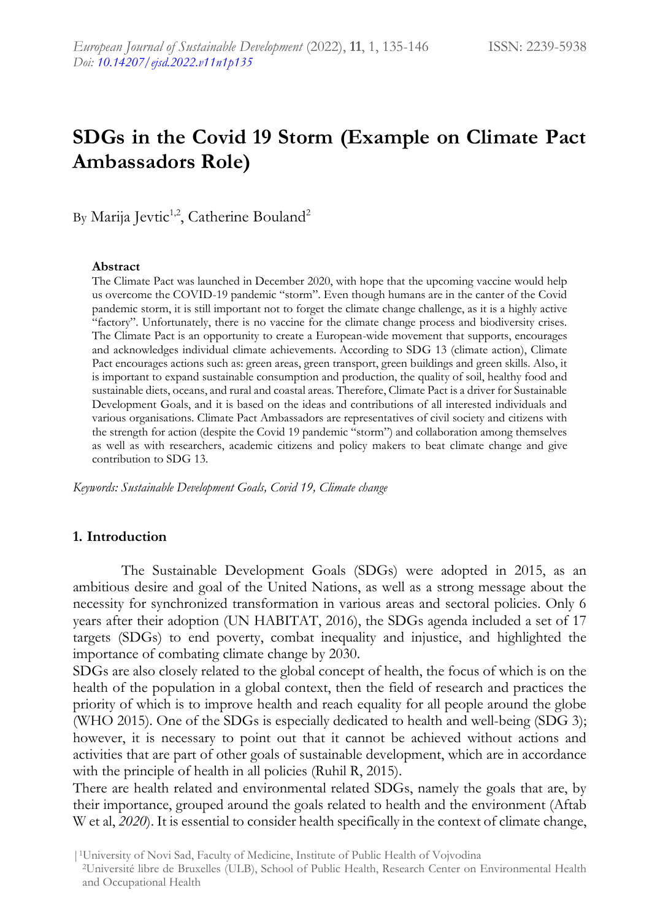# **SDGs in the Covid 19 Storm (Example on Climate Pact Ambassadors Role)**

By Marija Jevtic<sup>1,2</sup>, Catherine Bouland<sup>2</sup>

#### **Abstract**

The Climate Pact was launched in December 2020, with hope that the upcoming vaccine would help us overcome the COVID-19 pandemic "storm". Even though humans are in the canter of the Covid pandemic storm, it is still important not to forget the climate change challenge, as it is a highly active "factory". Unfortunately, there is no vaccine for the climate change process and biodiversity crises. The Climate Pact is an opportunity to create a European-wide movement that supports, encourages and acknowledges individual climate achievements. According to SDG 13 (climate action), Climate Pact encourages actions such as: green areas, green transport, green buildings and green skills. Also, it is important to expand sustainable consumption and production, the quality of soil, healthy food and sustainable diets, oceans, and rural and coastal areas. Therefore, Climate Pact is a driver for Sustainable Development Goals, and it is based on the ideas and contributions of all interested individuals and various organisations. Climate Pact Ambassadors are representatives of civil society and citizens with the strength for action (despite the Covid 19 pandemic "storm") and collaboration among themselves as well as with researchers, academic citizens and policy makers to beat climate change and give contribution to SDG 13.

*Keywords: Sustainable Development Goals, Covid 19, Climate change*

#### **1. Introduction**

The Sustainable Development Goals (SDGs) were adopted in 2015, as an ambitious desire and goal of the United Nations, as well as a strong message about the necessity for synchronized transformation in various areas and sectoral policies. Only 6 years after their adoption (UN HABITAT, 2016), the SDGs agenda included a set of 17 targets (SDGs) to end poverty, combat inequality and injustice, and highlighted the importance of combating climate change by 2030.

SDGs are also closely related to the global concept of health, the focus of which is on the health of the population in a global context, then the field of research and practices the priority of which is to improve health and reach equality for all people around the globe (WHO 2015). One of the SDGs is especially dedicated to health and well-being (SDG 3); however, it is necessary to point out that it cannot be achieved without actions and activities that are part of other goals of sustainable development, which are in accordance with the principle of health in all policies (Ruhil R, 2015).

There are health related and environmental related SDGs, namely the goals that are, by their importance, grouped around the goals related to health and the environment (Aftab W et al, *2020*). It is essential to consider health specifically in the context of climate change,

|1University of Novi Sad, Faculty of Medicine, Institute of Public Health of Vojvodina

<sup>2</sup>Université libre de Bruxelles (ULB), School of Public Health, Research Center on Environmental Health and Occupational Health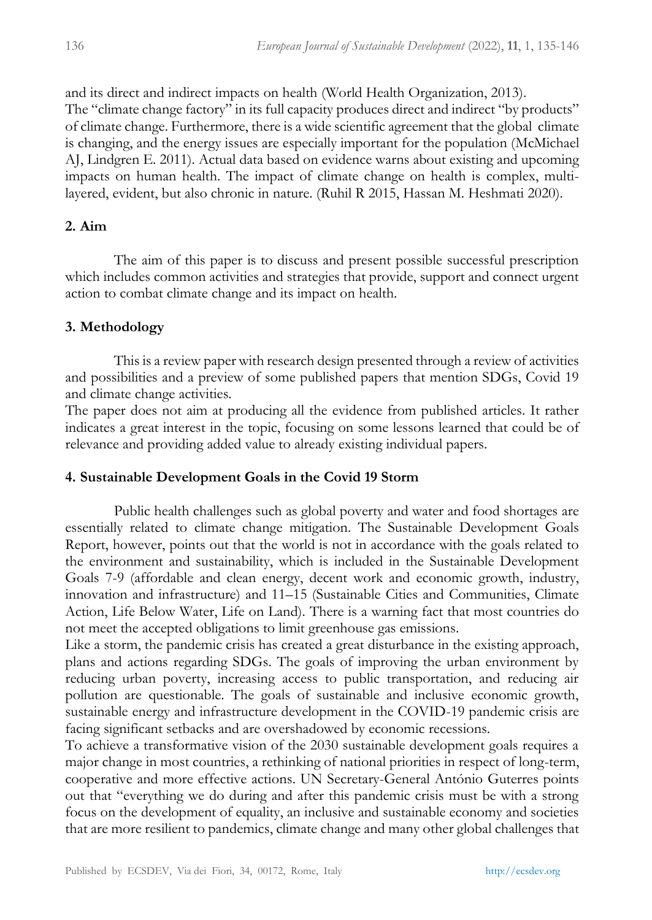and its direct and indirect impacts on health (World Health Organization, 2013). The "climate change factory" in its full capacity produces direct and indirect "by products" of climate change. Furthermore, there is a wide scientific agreement that the global climate is changing, and the energy issues are especially important for the population (McMichael AJ, Lindgren E. 2011). Actual data based on evidence warns about existing and upcoming impacts on human health. The impact of climate change on health is complex, multilayered, evident, but also chronic in nature. (Ruhil R 2015, Hassan M. Heshmati 2020).

# **2. Aim**

The aim of this paper is to discuss and present possible successful prescription which includes common activities and strategies that provide, support and connect urgent action to combat climate change and its impact on health.

# **3. Methodology**

This is a review paper with research design presented through a review of activities and possibilities and a preview of some published papers that mention SDGs, Covid 19 and climate change activities.

The paper does not aim at producing all the evidence from published articles. It rather indicates a great interest in the topic, focusing on some lessons learned that could be of relevance and providing added value to already existing individual papers.

## **4. Sustainable Development Goals in the Covid 19 Storm**

Public health challenges such as global poverty and water and food shortages are essentially related to climate change mitigation. The Sustainable Development Goals Report, however, points out that the world is not in accordance with the goals related to the environment and sustainability, which is included in the Sustainable Development Goals 7-9 (affordable and clean energy, decent work and economic growth, industry, innovation and infrastructure) and 11–15 (Sustainable Cities and Communities, Climate Action, Life Below Water, Life on Land). There is a warning fact that most countries do not meet the accepted obligations to limit greenhouse gas emissions.

Like a storm, the pandemic crisis has created a great disturbance in the existing approach, plans and actions regarding SDGs. The goals of improving the urban environment by reducing urban poverty, increasing access to public transportation, and reducing air pollution are questionable. The goals of sustainable and inclusive economic growth, sustainable energy and infrastructure development in the COVID-19 pandemic crisis are facing significant setbacks and are overshadowed by economic recessions.

To achieve a transformative vision of the 2030 sustainable development goals requires a major change in most countries, a rethinking of national priorities in respect of long-term, cooperative and more effective actions. UN Secretary-General António Guterres points out that "everything we do during and after this pandemic crisis must be with a strong focus on the development of equality, an inclusive and sustainable economy and societies that are more resilient to pandemics, climate change and many other global challenges that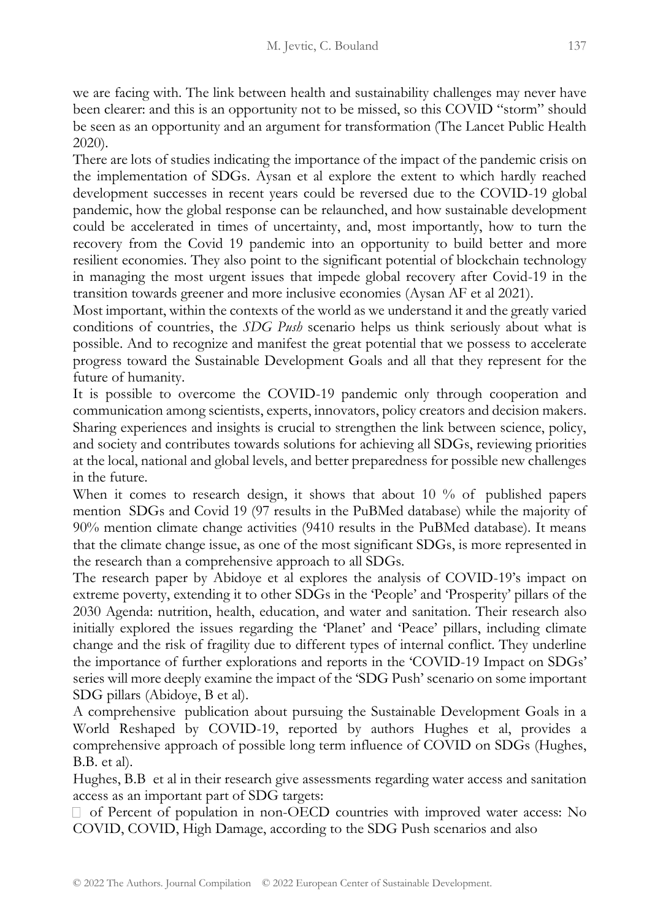we are facing with. The link between health and sustainability challenges may never have been clearer: and this is an opportunity not to be missed, so this COVID "storm" should be seen as an opportunity and an argument for transformation (The Lancet Public Health 2020).

There are lots of studies indicating the importance of the impact of the pandemic crisis on the implementation of SDGs. Aysan et al explore the extent to which hardly reached development successes in recent years could be reversed due to the COVID-19 global pandemic, how the global response can be relaunched, and how sustainable development could be accelerated in times of uncertainty, and, most importantly, how to turn the recovery from the Covid 19 pandemic into an opportunity to build better and more resilient economies. They also point to the significant potential of blockchain technology in managing the most urgent issues that impede global recovery after Covid-19 in the transition towards greener and more inclusive economies (Aysan AF et al 2021).

Most important, within the contexts of the world as we understand it and the greatly varied conditions of countries, the *SDG Push* scenario helps us think seriously about what is possible. And to recognize and manifest the great potential that we possess to accelerate progress toward the Sustainable Development Goals and all that they represent for the future of humanity.

It is possible to overcome the COVID-19 pandemic only through cooperation and communication among scientists, experts, innovators, policy creators and decision makers. Sharing experiences and insights is crucial to strengthen the link between science, policy, and society and contributes towards solutions for achieving all SDGs, reviewing priorities at the local, national and global levels, and better preparedness for possible new challenges in the future.

When it comes to research design, it shows that about 10 % of published papers mention SDGs and Covid 19 (97 results in the PuBMed database) while the majority of 90% mention climate change activities (9410 results in the PuBMed database). It means that the climate change issue, as one of the most significant SDGs, is more represented in the research than a comprehensive approach to all SDGs.

The research paper by Abidoye et al explores the analysis of COVID-19's impact on extreme poverty, extending it to other SDGs in the 'People' and 'Prosperity' pillars of the 2030 Agenda: nutrition, health, education, and water and sanitation. Their research also initially explored the issues regarding the 'Planet' and 'Peace' pillars, including climate change and the risk of fragility due to different types of internal conflict. They underline the importance of further explorations and reports in the 'COVID-19 Impact on SDGs' series will more deeply examine the impact of the 'SDG Push' scenario on some important SDG pillars (Abidoye, B et al).

A comprehensive publication about pursuing the Sustainable Development Goals in a World Reshaped by COVID-19, reported by authors Hughes et al, provides a comprehensive approach of possible long term influence of COVID on SDGs (Hughes, B.B. et al).

Hughes, B.B et al in their research give assessments regarding water access and sanitation access as an important part of SDG targets:

 $\Box$  of Percent of population in non-OECD countries with improved water access: No COVID, COVID, High Damage, according to the SDG Push scenarios and also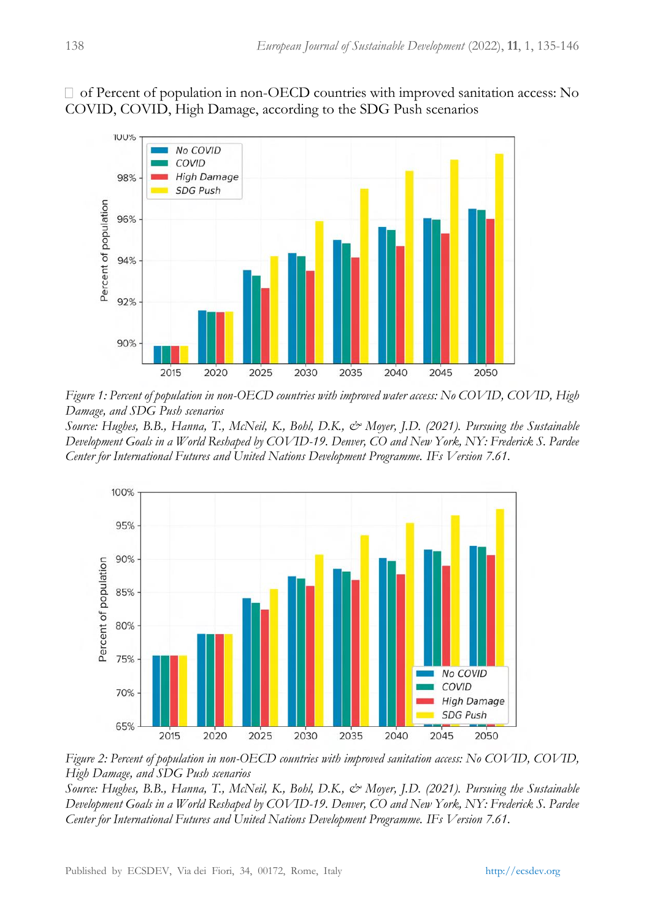$\Box$  of Percent of population in non-OECD countries with improved sanitation access: No COVID, COVID, High Damage, according to the SDG Push scenarios



*Figure 1: Percent of population in non-OECD countries with improved water access: No COVID, COVID, High Damage, and SDG Push scenarios* 

*Source: Hughes, B.B., Hanna, T., McNeil, K., Bohl, D.K., & Moyer, J.D. (2021). Pursuing the Sustainable Development Goals in a World Reshaped by COVID-19. Denver, CO and New York, NY: Frederick S. Pardee Center for International Futures and United Nations Development Programme. IFs Version 7.61.* 



*Figure 2: Percent of population in non-OECD countries with improved sanitation access: No COVID, COVID, High Damage, and SDG Push scenarios* 

*Source: Hughes, B.B., Hanna, T., McNeil, K., Bohl, D.K., & Moyer, J.D. (2021). Pursuing the Sustainable Development Goals in a World Reshaped by COVID-19. Denver, CO and New York, NY: Frederick S. Pardee Center for International Futures and United Nations Development Programme. IFs Version 7.61.*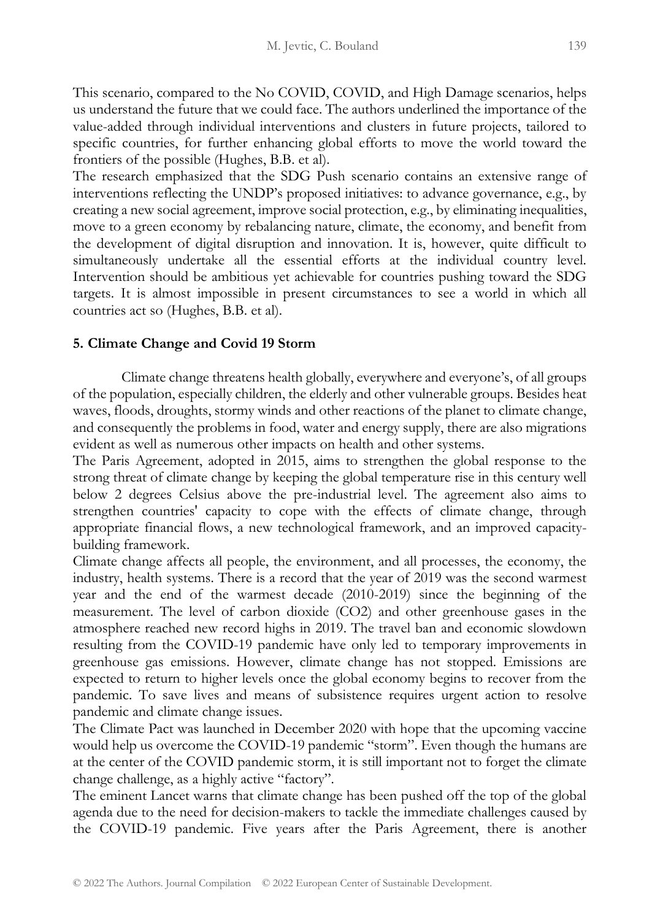This scenario, compared to the No COVID, COVID, and High Damage scenarios, helps us understand the future that we could face. The authors underlined the importance of the value-added through individual interventions and clusters in future projects, tailored to specific countries, for further enhancing global efforts to move the world toward the frontiers of the possible (Hughes, B.B. et al).

The research emphasized that the SDG Push scenario contains an extensive range of interventions reflecting the UNDP's proposed initiatives: to advance governance, e.g., by creating a new social agreement, improve social protection, e.g., by eliminating inequalities, move to a green economy by rebalancing nature, climate, the economy, and benefit from the development of digital disruption and innovation. It is, however, quite difficult to simultaneously undertake all the essential efforts at the individual country level. Intervention should be ambitious yet achievable for countries pushing toward the SDG targets. It is almost impossible in present circumstances to see a world in which all countries act so (Hughes, B.B. et al).

#### **5. Climate Change and Covid 19 Storm**

Climate change threatens health globally, everywhere and everyone's, of all groups of the population, especially children, the elderly and other vulnerable groups. Besides heat waves, floods, droughts, stormy winds and other reactions of the planet to climate change, and consequently the problems in food, water and energy supply, there are also migrations evident as well as numerous other impacts on health and other systems.

The Paris Agreement, adopted in 2015, aims to strengthen the global response to the strong threat of climate change by keeping the global temperature rise in this century well below 2 degrees Celsius above the pre-industrial level. The agreement also aims to strengthen countries' capacity to cope with the effects of climate change, through appropriate financial flows, a new technological framework, and an improved capacitybuilding framework.

Climate change affects all people, the environment, and all processes, the economy, the industry, health systems. There is a record that the year of 2019 was the second warmest year and the end of the warmest decade (2010-2019) since the beginning of the measurement. The level of carbon dioxide (CO2) and other greenhouse gases in the atmosphere reached new record highs in 2019. The travel ban and economic slowdown resulting from the COVID-19 pandemic have only led to temporary improvements in greenhouse gas emissions. However, climate change has not stopped. Emissions are expected to return to higher levels once the global economy begins to recover from the pandemic. To save lives and means of subsistence requires urgent action to resolve pandemic and climate change issues.

The Climate Pact was launched in December 2020 with hope that the upcoming vaccine would help us overcome the COVID-19 pandemic "storm". Even though the humans are at the center of the COVID pandemic storm, it is still important not to forget the climate change challenge, as a highly active "factory".

The eminent Lancet warns that climate change has been pushed off the top of the global agenda due to the need for decision-makers to tackle the immediate challenges caused by the COVID-19 pandemic. Five years after the Paris Agreement, there is another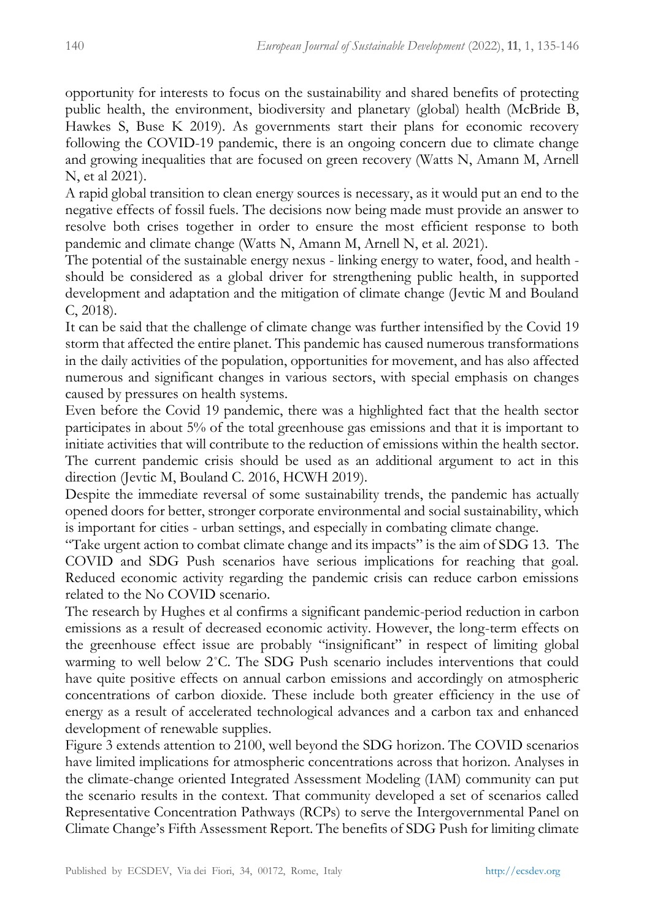opportunity for interests to focus on the sustainability and shared benefits of protecting public health, the environment, biodiversity and planetary (global) health (McBride B, Hawkes S, Buse K 2019). As governments start their plans for economic recovery following the COVID-19 pandemic, there is an ongoing concern due to climate change and growing inequalities that are focused on green recovery (Watts N, Amann M, Arnell N, et al 2021).

A rapid global transition to clean energy sources is necessary, as it would put an end to the negative effects of fossil fuels. The decisions now being made must provide an answer to resolve both crises together in order to ensure the most efficient response to both pandemic and climate change (Watts N, Amann M, Arnell N, et al. 2021).

The potential of the sustainable energy nexus - linking energy to water, food, and health should be considered as a global driver for strengthening public health, in supported development and adaptation and the mitigation of climate change (Jevtic M and Bouland C, 2018).

It can be said that the challenge of climate change was further intensified by the Covid 19 storm that affected the entire planet. This pandemic has caused numerous transformations in the daily activities of the population, opportunities for movement, and has also affected numerous and significant changes in various sectors, with special emphasis on changes caused by pressures on health systems.

Even before the Covid 19 pandemic, there was a highlighted fact that the health sector participates in about 5% of the total greenhouse gas emissions and that it is important to initiate activities that will contribute to the reduction of emissions within the health sector. The current pandemic crisis should be used as an additional argument to act in this direction (Jevtic M, Bouland C. 2016, HCWH 2019).

Despite the immediate reversal of some sustainability trends, the pandemic has actually opened doors for better, stronger corporate environmental and social sustainability, which is important for cities - urban settings, and especially in combating climate change.

"Take urgent action to combat climate change and its impacts" is the aim of SDG 13. The COVID and SDG Push scenarios have serious implications for reaching that goal. Reduced economic activity regarding the pandemic crisis can reduce carbon emissions related to the No COVID scenario.

The research by Hughes et al confirms a significant pandemic-period reduction in carbon emissions as a result of decreased economic activity. However, the long-term effects on the greenhouse effect issue are probably "insignificant" in respect of limiting global warming to well below 2°C. The SDG Push scenario includes interventions that could have quite positive effects on annual carbon emissions and accordingly on atmospheric concentrations of carbon dioxide. These include both greater efficiency in the use of energy as a result of accelerated technological advances and a carbon tax and enhanced development of renewable supplies.

Figure 3 extends attention to 2100, well beyond the SDG horizon. The COVID scenarios have limited implications for atmospheric concentrations across that horizon. Analyses in the climate-change oriented Integrated Assessment Modeling (IAM) community can put the scenario results in the context. That community developed a set of scenarios called Representative Concentration Pathways (RCPs) to serve the Intergovernmental Panel on Climate Change's Fifth Assessment Report. The benefits of SDG Push for limiting climate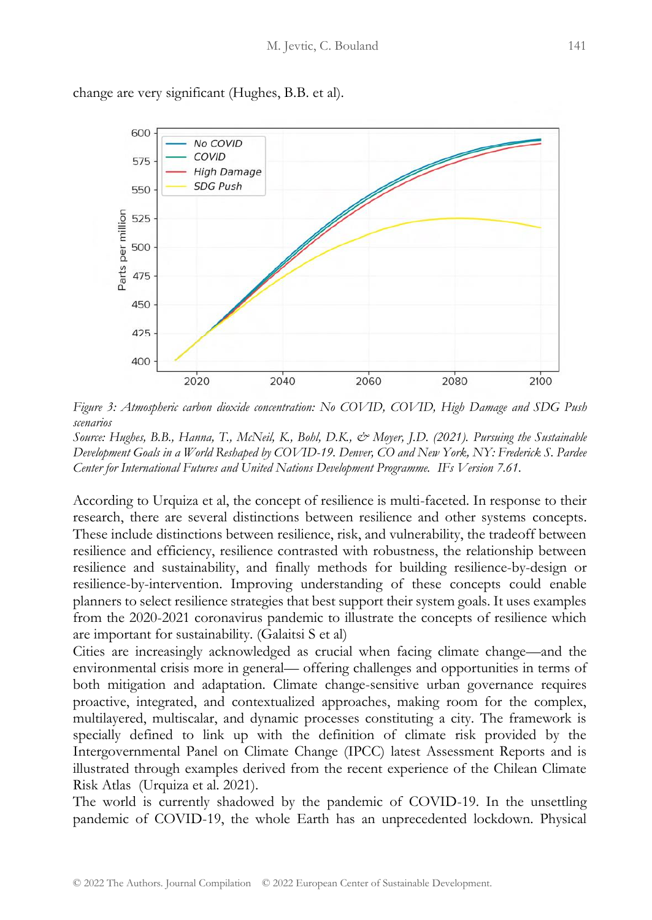600 No COVID COVID 575 **High Damage SDG Push** 550 Parts per million 525 500 475 450 425 400 2020 2040 2060 2080 2100

change are very significant (Hughes, B.B. et al).

*Figure 3: Atmospheric carbon dioxide concentration: No COVID, COVID, High Damage and SDG Push scenarios* 

*Source: Hughes, B.B., Hanna, T., McNeil, K., Bohl, D.K., & Moyer, J.D. (2021). Pursuing the Sustainable Development Goals in a World Reshaped by COVID-19. Denver, CO and New York, NY: Frederick S. Pardee Center for International Futures and United Nations Development Programme. IFs Version 7.61.*

According to Urquiza et al, the concept of resilience is multi-faceted. In response to their research, there are several distinctions between resilience and other systems concepts. These include distinctions between resilience, risk, and vulnerability, the tradeoff between resilience and efficiency, resilience contrasted with robustness, the relationship between resilience and sustainability, and finally methods for building resilience-by-design or resilience-by-intervention. Improving understanding of these concepts could enable planners to select resilience strategies that best support their system goals. It uses examples from the 2020-2021 coronavirus pandemic to illustrate the concepts of resilience which are important for sustainability. (Galaitsi S et al)

Cities are increasingly acknowledged as crucial when facing climate change—and the environmental crisis more in general— offering challenges and opportunities in terms of both mitigation and adaptation. Climate change-sensitive urban governance requires proactive, integrated, and contextualized approaches, making room for the complex, multilayered, multiscalar, and dynamic processes constituting a city. The framework is specially defined to link up with the definition of climate risk provided by the Intergovernmental Panel on Climate Change (IPCC) latest Assessment Reports and is illustrated through examples derived from the recent experience of the Chilean Climate Risk Atlas (Urquiza et al. 2021).

The world is currently shadowed by the pandemic of COVID-19. In the unsettling pandemic of COVID-19, the whole Earth has an unprecedented lockdown. Physical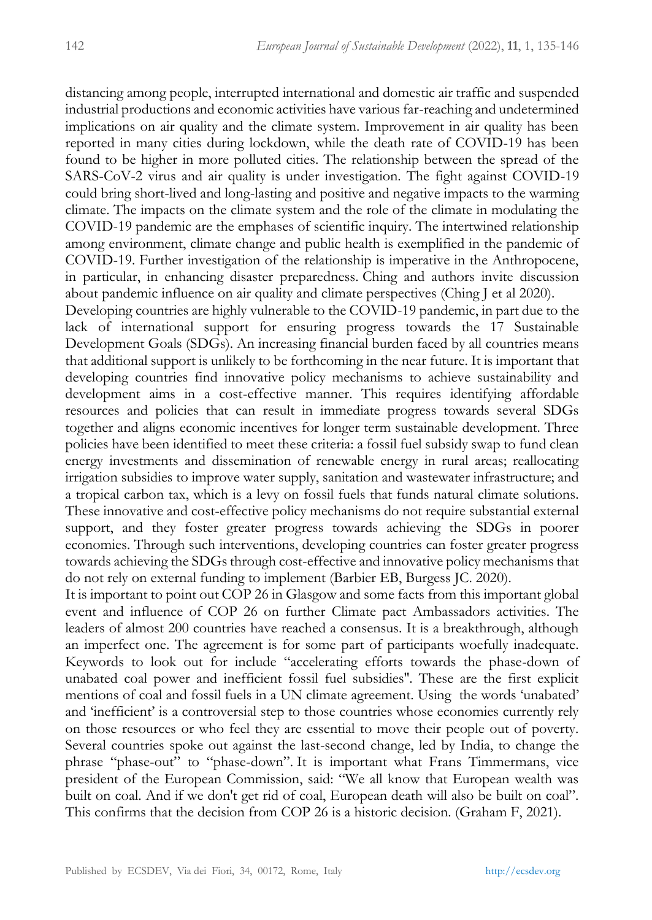distancing among people, interrupted international and domestic air traffic and suspended industrial productions and economic activities have various far-reaching and undetermined implications on air quality and the climate system. Improvement in air quality has been reported in many cities during lockdown, while the death rate of COVID-19 has been found to be higher in more polluted cities. The relationship between the spread of the SARS-CoV-2 virus and air quality is under investigation. The fight against COVID-19 could bring short-lived and long-lasting and positive and negative impacts to the warming climate. The impacts on the climate system and the role of the climate in modulating the COVID-19 pandemic are the emphases of scientific inquiry. The intertwined relationship among environment, climate change and public health is exemplified in the pandemic of COVID-19. Further investigation of the relationship is imperative in the Anthropocene, in particular, in enhancing disaster preparedness. Ching and authors invite discussion about pandemic influence on air quality and climate perspectives (Ching J et al 2020).

Developing countries are highly vulnerable to the COVID-19 pandemic, in part due to the lack of international support for ensuring progress towards the 17 Sustainable Development Goals (SDGs). An increasing financial burden faced by all countries means that additional support is unlikely to be forthcoming in the near future. It is important that developing countries find innovative policy mechanisms to achieve sustainability and development aims in a cost-effective manner. This requires identifying affordable resources and policies that can result in immediate progress towards several SDGs together and aligns economic incentives for longer term sustainable development. Three policies have been identified to meet these criteria: a fossil fuel subsidy swap to fund clean energy investments and dissemination of renewable energy in rural areas; reallocating irrigation subsidies to improve water supply, sanitation and wastewater infrastructure; and a tropical carbon tax, which is a levy on fossil fuels that funds natural climate solutions. These innovative and cost-effective policy mechanisms do not require substantial external support, and they foster greater progress towards achieving the SDGs in poorer economies. Through such interventions, developing countries can foster greater progress towards achieving the SDGs through cost-effective and innovative policy mechanisms that do not rely on external funding to implement (Barbier EB, Burgess JC. 2020).

It is important to point out COP 26 in Glasgow and some facts from this important global event and influence of COP 26 on further Climate pact Ambassadors activities. The leaders of almost 200 countries have reached a consensus. It is a breakthrough, although an imperfect one. The agreement is for some part of participants woefully inadequate. Keywords to look out for include "accelerating efforts towards the phase-down of unabated coal power and inefficient fossil fuel subsidies''. These are the first explicit mentions of coal and fossil fuels in a UN climate agreement. Using the words 'unabated' and 'inefficient' is a controversial step to those countries whose economies currently rely on those resources or who feel they are essential to move their people out of poverty. Several countries spoke out against the last-second change, led by India, to change the phrase "phase-out" to "phase-down". It is important what Frans Timmermans, vice president of the European Commission, said: "We all know that European wealth was built on coal. And if we don't get rid of coal, European death will also be built on coal". This confirms that the decision from COP 26 is a historic decision. (Graham F, 2021).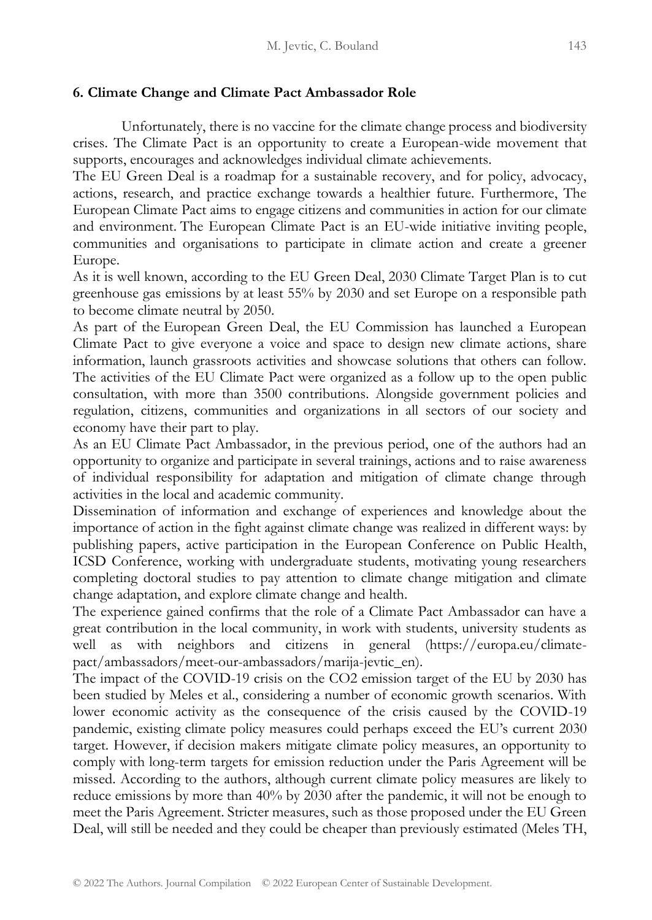#### **6. Climate Change and Climate Pact Ambassador Role**

Unfortunately, there is no vaccine for the climate change process and biodiversity crises. The Climate Pact is an opportunity to create a European-wide movement that supports, encourages and acknowledges individual climate achievements.

The EU Green Deal is a roadmap for a sustainable recovery, and for policy, advocacy, actions, research, and practice exchange towards a healthier future. Furthermore, The European Climate Pact aims to engage citizens and communities in action for our climate and environment. The European Climate Pact is an EU-wide initiative inviting people, communities and organisations to participate in climate action and create a greener Europe.

As it is well known, according to the EU Green Deal, 2030 Climate Target Plan is to cut greenhouse gas emissions by at least 55% by 2030 and set Europe on a responsible path to become climate neutral by 2050.

As part of the European Green Deal, the EU Commission has launched a European Climate Pact to give everyone a voice and space to design new climate actions, share information, launch grassroots activities and showcase solutions that others can follow. The activities of the EU Climate Pact were organized as a follow up to the open public consultation, with more than 3500 contributions. Alongside government policies and regulation, citizens, communities and organizations in all sectors of our society and economy have their part to play.

As an EU Climate Pact Ambassador, in the previous period, one of the authors had an opportunity to organize and participate in several trainings, actions and to raise awareness of individual responsibility for adaptation and mitigation of climate change through activities in the local and academic community.

Dissemination of information and exchange of experiences and knowledge about the importance of action in the fight against climate change was realized in different ways: by publishing papers, active participation in the European Conference on Public Health, ICSD Conference, working with undergraduate students, motivating young researchers completing doctoral studies to pay attention to climate change mitigation and climate change adaptation, and explore climate change and health.

The experience gained confirms that the role of a Climate Pact Ambassador can have a great contribution in the local community, in work with students, university students as well as with neighbors and citizens in general (https://europa.eu/climatepact/ambassadors/meet-our-ambassadors/marija-jevtic\_en).

The impact of the COVID-19 crisis on the CO2 emission target of the EU by 2030 has been studied by Meles et al., considering a number of economic growth scenarios. With lower economic activity as the consequence of the crisis caused by the COVID-19 pandemic, existing climate policy measures could perhaps exceed the EU's current 2030 target. However, if decision makers mitigate climate policy measures, an opportunity to comply with long-term targets for emission reduction under the Paris Agreement will be missed. According to the authors, although current climate policy measures are likely to reduce emissions by more than 40% by 2030 after the pandemic, it will not be enough to meet the Paris Agreement. Stricter measures, such as those proposed under the EU Green Deal, will still be needed and they could be cheaper than previously estimated (Meles TH,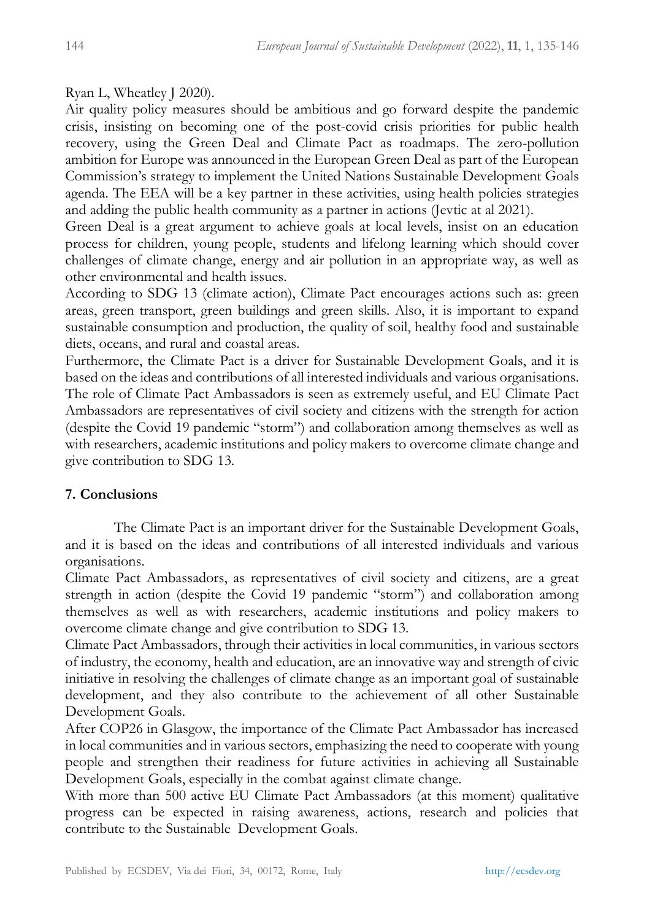Ryan L, Wheatley J 2020).

Air quality policy measures should be ambitious and go forward despite the pandemic crisis, insisting on becoming one of the post-covid crisis priorities for public health recovery, using the Green Deal and Climate Pact as roadmaps. The zero-pollution ambition for Europe was announced in the European Green Deal as part of the European Commission's strategy to implement the United Nations Sustainable Development Goals agenda. The EEA will be a key partner in these activities, using health policies strategies and adding the public health community as a partner in actions (Jevtic at al 2021).

Green Deal is a great argument to achieve goals at local levels, insist on an education process for children, young people, students and lifelong learning which should cover challenges of climate change, energy and air pollution in an appropriate way, as well as other environmental and health issues.

According to SDG 13 (climate action), Climate Pact encourages actions such as: green areas, green transport, green buildings and green skills. Also, it is important to expand sustainable consumption and production, the quality of soil, healthy food and sustainable diets, oceans, and rural and coastal areas.

Furthermore, the Climate Pact is a driver for Sustainable Development Goals, and it is based on the ideas and contributions of all interested individuals and various organisations. The role of Climate Pact Ambassadors is seen as extremely useful, and EU Climate Pact Ambassadors are representatives of civil society and citizens with the strength for action (despite the Covid 19 pandemic "storm") and collaboration among themselves as well as with researchers, academic institutions and policy makers to overcome climate change and give contribution to SDG 13.

## **7. Conclusions**

The Climate Pact is an important driver for the Sustainable Development Goals, and it is based on the ideas and contributions of all interested individuals and various organisations.

Climate Pact Ambassadors, as representatives of civil society and citizens, are a great strength in action (despite the Covid 19 pandemic "storm") and collaboration among themselves as well as with researchers, academic institutions and policy makers to overcome climate change and give contribution to SDG 13.

Climate Pact Ambassadors, through their activities in local communities, in various sectors of industry, the economy, health and education, are an innovative way and strength of civic initiative in resolving the challenges of climate change as an important goal of sustainable development, and they also contribute to the achievement of all other Sustainable Development Goals.

After COP26 in Glasgow, the importance of the Climate Pact Ambassador has increased in local communities and in various sectors, emphasizing the need to cooperate with young people and strengthen their readiness for future activities in achieving all Sustainable Development Goals, especially in the combat against climate change.

With more than 500 active EU Climate Pact Ambassadors (at this moment) qualitative progress can be expected in raising awareness, actions, research and policies that contribute to the Sustainable Development Goals.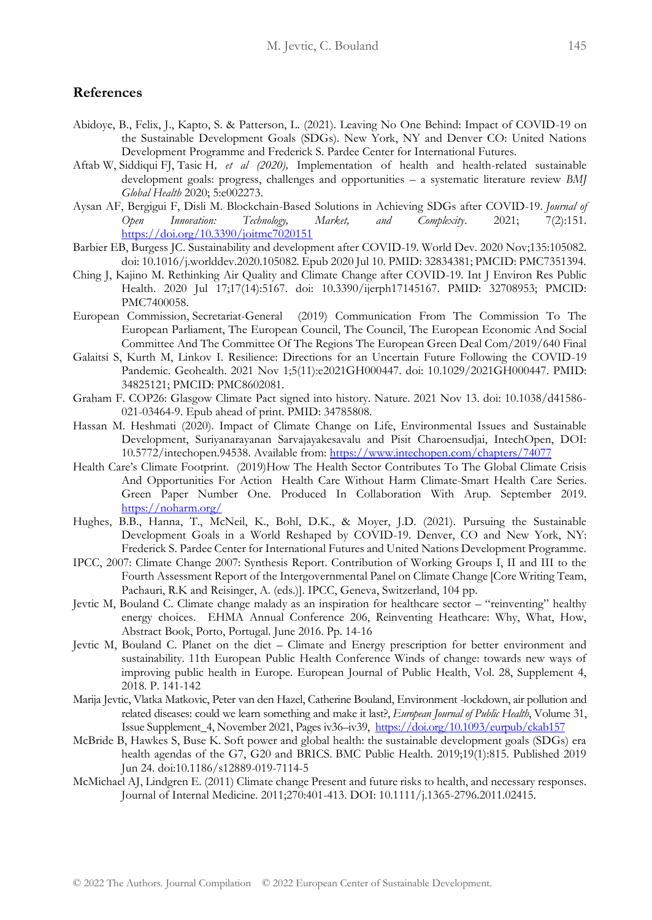#### **References**

- Abidoye, B., Felix, J., Kapto, S. & Patterson, L. (2021). Leaving No One Behind: Impact of COVID-19 on the Sustainable Development Goals (SDGs). New York, NY and Denver CO: United Nations Development Programme and Frederick S. Pardee Center for International Futures.
- Aftab W, Siddiqui FJ, Tasic H*, et al (2020),* Implementation of health and health-related sustainable development goals: progress, challenges and opportunities – a systematic literature review *BMJ Global Health* 2020; 5:e002273.
- Aysan AF, Bergigui F, Disli M. Blockchain-Based Solutions in Achieving SDGs after COVID-19. *Journal of Open Innovation: Technology, Market, and Complexity*. 2021; 7(2):151. <https://doi.org/10.3390/joitmc7020151>
- Barbier EB, Burgess JC. Sustainability and development after COVID-19. World Dev. 2020 Nov;135:105082. doi: 10.1016/j.worlddev.2020.105082. Epub 2020 Jul 10. PMID: 32834381; PMCID: PMC7351394.
- Ching J, Kajino M. Rethinking Air Quality and Climate Change after COVID-19. Int J Environ Res Public Health. 2020 Jul 17;17(14):5167. doi: 10.3390/ijerph17145167. PMID: 32708953; PMCID: PMC7400058.
- European Commission, Secretariat-General (2019) Communication From The Commission To The European Parliament, The European Council, The Council, The European Economic And Social Committee And The Committee Of The Regions The European Green Deal Com/2019/640 Final
- Galaitsi S, Kurth M, Linkov I. Resilience: Directions for an Uncertain Future Following the COVID-19 Pandemic. Geohealth. 2021 Nov 1;5(11):e2021GH000447. doi: 10.1029/2021GH000447. PMID: 34825121; PMCID: PMC8602081.
- Graham F. COP26: Glasgow Climate Pact signed into history. Nature. 2021 Nov 13. doi: 10.1038/d41586- 021-03464-9. Epub ahead of print. PMID: 34785808.
- Hassan M. Heshmati (2020). Impact of Climate Change on Life, Environmental Issues and Sustainable Development, Suriyanarayanan Sarvajayakesavalu and Pisit Charoensudjai, IntechOpen, DOI: 10.5772/intechopen.94538. Available from:<https://www.intechopen.com/chapters/74077>
- Health Care's Climate Footprint. (2019)How The Health Sector Contributes To The Global Climate Crisis And Opportunities For Action Health Care Without Harm Climate-Smart Health Care Series. Green Paper Number One. Produced In Collaboration With Arup. September 2019. <https://noharm.org/>
- Hughes, B.B., Hanna, T., McNeil, K., Bohl, D.K., & Moyer, J.D. (2021). Pursuing the Sustainable Development Goals in a World Reshaped by COVID-19. Denver, CO and New York, NY: Frederick S. Pardee Center for International Futures and United Nations Development Programme.
- IPCC, 2007: Climate Change 2007: Synthesis Report. Contribution of Working Groups I, II and III to the Fourth Assessment Report of the Intergovernmental Panel on Climate Change [Core Writing Team, Pachauri, R.K and Reisinger, A. (eds.)]. IPCC, Geneva, Switzerland, 104 pp.
- Jevtic M, Bouland C. Climate change malady as an inspiration for healthcare sector "reinventing" healthy energy choices. EHMA Annual Conference 206, Reinventing Heathcare: Why, What, How, Abstract Book, Porto, Portugal. June 2016. Pp. 14-16
- Jevtic M, Bouland C. Planet on the diet Climate and Energy prescription for better environment and sustainability. 11th European Public Health Conference Winds of change: towards new ways of improving public health in Europe. European Journal of Public Health, Vol. 28, Supplement 4, 2018. P. 141-142
- Marija Jevtic, Vlatka Matkovic, Peter van den Hazel, Catherine Bouland, Environment -lockdown, air pollution and related diseases: could we learn something and make it last?, *European Journal of Public Health*, Volume 31, Issue Supplement\_4, November 2021, Pages iv36–iv39, <https://doi.org/10.1093/eurpub/ckab157>
- McBride B, Hawkes S, Buse K. Soft power and global health: the sustainable development goals (SDGs) era health agendas of the G7, G20 and BRICS. BMC Public Health. 2019;19(1):815. Published 2019 Jun 24. doi:10.1186/s12889-019-7114-5
- McMichael AJ, Lindgren E. (2011) Climate change Present and future risks to health, and necessary responses. Journal of Internal Medicine. 2011;270:401-413. DOI: 10.1111/j.1365-2796.2011.02415.